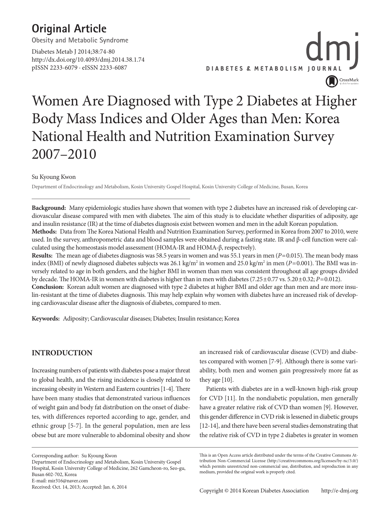### **Original Article**

**Obesity and Metabolic Syndrome**

Diabetes Metab J 2014;38:74-80 http://dx.doi.org/10.4093/dmj.2014.38.1.74 pISSN 2233-6079 · eISSN 2233-6087



### Women Are Diagnosed with Type 2 Diabetes at Higher Body Mass Indices and Older Ages than Men: Korea National Health and Nutrition Examination Survey 2007–2010

Su Kyoung Kwon

Department of Endocrinology and Metabolism, Kosin University Gospel Hospital, Kosin University College of Medicine, Busan, Korea

**Background:** Many epidemiologic studies have shown that women with type 2 diabetes have an increased risk of developing cardiovascular disease compared with men with diabetes. The aim of this study is to elucidate whether disparities of adiposity, age and insulin resistance (IR) at the time of diabetes diagnosis exist between women and men in the adult Korean population.

**Methods:** Data from The Korea National Health and Nutrition Examination Survey, performed in Korea from 2007 to 2010, were used. In the survey, anthropometric data and blood samples were obtained during a fasting state. IR and β-cell function were calculated using the homeostasis model assessment (HOMA-IR and HOMA-β, respectvely).

**Results:** The mean age of diabetes diagnosis was 58.5 years in women and was 55.1 years in men (*P*=0.015). The mean body mass index (BMI) of newly diagnosed diabetes subjects was 26.1 kg/m<sup>2</sup> in women and 25.0 kg/m<sup>2</sup> in men (*P*=0.001). The BMI was inversely related to age in both genders, and the higher BMI in women than men was consistent throughout all age groups divided by decade. The HOMA-IR in women with diabetes is higher than in men with diabetes (7.25±0.77 vs. 5.20±0.32; *P*=0.012).

**Conclusion:** Korean adult women are diagnosed with type 2 diabetes at higher BMI and older age than men and are more insulin-resistant at the time of diabetes diagnosis. This may help explain why women with diabetes have an increased risk of developing cardiovascular disease after the diagnosis of diabetes, compared to men.

**Keywords:** Adiposity; Cardiovascular diseases; Diabetes; Insulin resistance; Korea

#### **INTRODUCTION**

Increasing numbers of patients with diabetes pose a major threat to global health, and the rising incidence is closely related to increasing obesity in Western and Eastern countries [1-4]. There have been many studies that demonstrated various influences of weight gain and body fat distribution on the onset of diabetes, with differences reported according to age, gender, and ethnic group [5-7]. In the general population, men are less obese but are more vulnerable to abdominal obesity and show

Corresponding author: Su Kyoung Kwon

Received: Oct. 14, 2013; Accepted: Jan. 6, 2014

an increased risk of cardiovascular disease (CVD) and diabetes compared with women [7-9]. Although there is some variability, both men and women gain progressively more fat as they age [10].

Patients with diabetes are in a well-known high-risk group for CVD [11]. In the nondiabetic population, men generally have a greater relative risk of CVD than women [9]. However, this gender difference in CVD risk is lessened in diabetic groups [12-14], and there have been several studies demonstrating that the relative risk of CVD in type 2 diabetes is greater in women

Department of Endocrinology and Metabolism, Kosin University Gospel Hospital, Kosin University College of Medicine, 262 Gamcheon-ro, Seo-gu, Busan 602-702, Korea E-mail: mir316@naver.com

This is an Open Access article distributed under the terms of the Creative Commons Attribution Non-Commercial License (http://creativecommons.org/licenses/by-nc/3.0/) which permits unrestricted non-commercial use, distribution, and reproduction in any medium, provided the original work is properly cited.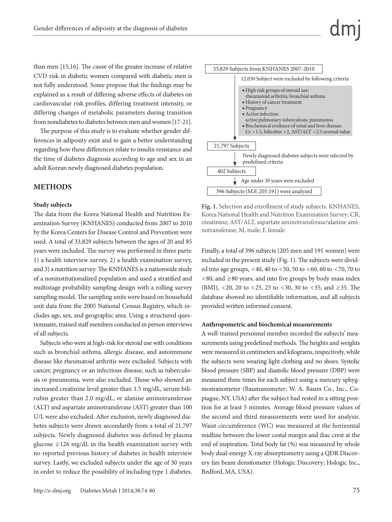than men [15,16]. The cause of the greater increase of relative CVD risk in diabetic women compared with diabetic men is not fully understood. Some propose that the findings may be explained as a result of differing adverse effects of diabetes on cardiovascular risk profiles, differing treatment intensity, or differing changes of metabolic parameters during transition from nondiabetes to diabetes between men and women [17-21].

The purpose of this study is to evaluate whether gender differences in adiposity exist and to gain a better understanding regarding how these differences relate to insulin resistance and the time of diabetes diagnosis according to age and sex in an adult Korean newly diagnosed diabetes population.

#### **METHODS**

#### **Study subjects**

The data from the Korea National Health and Nutrition Examination Survey (KNHANES) conducted from 2007 to 2010 by the Korea Centers for Disease Control and Prevention were used. A total of 33,829 subjects between the ages of 20 and 85 years were included. The survey was performed in three parts: 1) a health interview survey, 2) a health examination survey, and 3) a nutrition survey. The KNHANES is a nationwide study of a noninstitutionalized population and used a stratified and multistage probability sampling design with a rolling survey sampling model. The sampling units were based on household unit data from the 2005 National Census Registry, which includes age, sex, and geographic area. Using a structured questionnaire, trained staff members conducted in person interviews of all subjects.

Subjects who were at high-risk for steroid use with conditions such as bronchial asthma, allergic disease, and autoimmune disease like rheumatoid arthritis were excluded. Subjects with cancer, pregnancy or an infectious disease, such as tuberculosis or pneumonia, were also excluded. Those who showed an increased creatinine level greater than 1.5 mg/dL, serum bilirubin greater than 2.0 mg/dL, or alanine aminotransferase (ALT) and aspartate aminotransferase (AST) greater than 100 U/L were also excluded. After exclusion, newly diagnosed diabetes subjects were drawn secondarily from a total of 21,797 subjects. Newly diagnosed diabetes was defined by plasma glucose  $\geq$ 126 mg/dL in the health examination survey with no reported previous history of diabetes in health interview survey. Lastly, we excluded subjects under the age of 30 years in order to reduce the possibility of including type 1 diabetes.



**Fig. 1.** Selection and enrollment of study subjects. KNHANES, Korea National Health and Nutrition Examination Survey; CR, creatinine; AST/ALT, aspartate aminotransferase/alanine aminotransferase; M, male; F, female.

Finally, a total of 396 subjects (205 men and 191 women) were included in the present study (Fig. 1). The subjects were divided into age groups, <40, 40 to <50, 50 to <60, 60 to <70, 70 to <80, and ≥80 years, and into five groups by body mass index (BMI), <20, 20 to <25, 25 to <30, 30 to <35, and ≥35. The database showed no identifiable information, and all subjects provided written informed consent.

#### **Anthropometric and biochemical measurements**

A well-trained personnel member recorded the subjects' measurements using predefined methods. The heights and weights were measured in centimeters and kilograms, respectively, while the subjects were wearing light clothing and no shoes. Systolic blood pressure (SBP) and diastolic blood pressure (DBP) were measured three times for each subject using a mercury sphygmomanometer (Baumanometer; W. A. Baum Co., Inc., Copiague, NY, USA) after the subject had rested in a sitting position for at least 5 minutes. Average blood pressure values of the second and third measurements were used for analysis. Waist circumference (WC) was measured at the horizontal midline between the lower costal margin and iliac crest at the end of inspiration. Total body fat (%) was measured by whole body dual-energy X-ray absorptiometry using a QDR Discovery fan beam densitometer (Hologic Discovery; Hologic Inc., Bedford, MA, USA).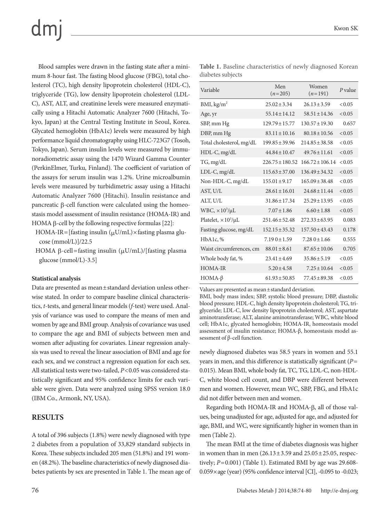## $dm$

Blood samples were drawn in the fasting state after a minimum 8-hour fast. The fasting blood glucose (FBG), total cholesterol (TC), high density lipoprotein cholesterol (HDL-C), triglyceride (TG), low density lipoprotein cholesterol (LDL-C), AST, ALT, and creatinine levels were measured enzymatically using a Hitachi Automatic Analyzer 7600 (Hitachi, Tokyo, Japan) at the Central Testing Institute in Seoul, Korea. Glycated hemoglobin (HbA1c) levels were measured by high performance liquid chromatography using HLC-723G7 (Tosoh, Tokyo, Japan). Serum insulin levels were measured by immunoradiometric assay using the 1470 Wizard Gamma Counter (PerkinElmer, Turku, Finland). The coefficient of variation of the assays for serum insulin was 1.2%. Urine microalbumin levels were measured by turbidimetric assay using a Hitachi Automatic Analyzer 7600 (Hitachi). Insulin resistance and pancreatic β-cell function were calculated using the homeostasis model assessment of insulin resistance (HOMA-IR) and HOMA β-cell by the following respective formulas [22]:

- HOMA-IR=[fasting insulin  $(\mu U/mL) \times$  fasting plasma glucose (mmol/L)]/22.5
- HOMA β-cell=fasting insulin  $(\mu U/mL)/$ [fasting plasma glucose (mmol/L)-3.5]

#### **Statistical analysis**

Data are presented as mean±standard deviation unless otherwise stated. In order to compare baseline clinical characteristics, *t*-tests, and general linear models (*f*-test) were used. Analysis of variance was used to compare the means of men and women by age and BMI group. Analysis of covariance was used to compare the age and BMI of subjects between men and women after adjusting for covariates. Linear regression analysis was used to reveal the linear association of BMI and age for each sex, and we construct a regression equation for each sex. All statistical tests were two-tailed, *P*<0.05 was considered statistically significant and 95% confidence limits for each variable were given. Data were analyzed using SPSS version 18.0 (IBM Co., Armonk, NY, USA).

#### **RESULTS**

A total of 396 subjects (1.8%) were newly diagnosed with type 2 diabetes from a population of 33,829 standard subjects in Korea. These subjects included 205 men (51.8%) and 191 women (48.2%). The baseline characteristics of newly diagnosed diabetes patients by sex are presented in Table 1. The mean age of

**Table 1.** Baseline characteristics of newly diagnosed Korean diabetes subjects

| Variable                      | Men<br>$(n=205)$    | Women<br>$(n=191)$  | $P$ value |
|-------------------------------|---------------------|---------------------|-----------|
| BMI, kg/m <sup>2</sup>        | $25.02 \pm 3.34$    | $26.13 \pm 3.59$    | < 0.05    |
| Age, yr                       | $55.14 \pm 14.12$   | $58.51 \pm 14.36$   | < 0.05    |
| SBP, mm Hg                    | $129.79 \pm 15.77$  | $130.57 \pm 19.30$  | 0.657     |
| DBP, mm Hg                    | $83.11 \pm 10.16$   | $80.18 \pm 10.56$   | < 0.05    |
| Total cholesterol, mg/dL      | $199.85 \pm 39.96$  | $214.85 \pm 38.58$  | < 0.05    |
| HDL-C, mg/dL                  | $44.84 \pm 10.47$   | $49.76 \pm 11.61$   | < 0.05    |
| TG, mg/dL                     | $226.75 \pm 180.52$ | $166.72 \pm 106.14$ | < 0.05    |
| LDL-C, mg/dL                  | $115.63 \pm 37.00$  | $136.49 \pm 34.32$  | < 0.05    |
| Non-HDL-C, mg/dL              | $155.01 \pm 9.17$   | $165.09 \pm 38.48$  | < 0.05    |
| AST, U/L                      | $28.61 \pm 16.01$   | $24.68 \pm 11.44$   | < 0.05    |
| ALT, U/L                      | $31.86 \pm 17.34$   | $25.29 \pm 13.95$   | < 0.05    |
| $WBC$ , $\times 10^3/\mu L$   | $7.07 \pm 1.86$     | $6.60 \pm 1.88$     | < 0.05    |
| Platelet, $\times 10^3/\mu L$ | $251.46 \pm 52.48$  | $272.33 \pm 63.95$  | 0.083     |
| Fasting glucose, mg/dL        | $152.15 \pm 35.32$  | $157.50 \pm 43.43$  | 0.178     |
| HbA1c, %                      | $7.190 \pm 1.59$    | $7.280 \pm 1.66$    | 0.555     |
| Waist circumferences, cm      | $88.01 \pm 8.61$    | $87.65 \pm 10.06$   | 0.705     |
| Whole body fat, %             | $23.41 \pm 4.69$    | $35.86 \pm 5.19$    | < 0.05    |
| <b>HOMA-IR</b>                | $5.20 \pm 4.58$     | $7.25 \pm 10.64$    | < 0.05    |
| HOMA- $\beta$                 | $61.93 \pm 50.85$   | $77.45 \pm 89.38$   | < 0.05    |

Values are presented as mean±standard deviation.

BMI, body mass index; SBP, systolic blood pressure; DBP, diastolic blood pressure; HDL-C, high density lipoprotein cholesterol; TG, triglyceride; LDL-C, low density lipoprotein cholesterol; AST, aspartate aminotransferase; ALT, alanine aminotransferase; WBC, white blood cell; HbA1c, glycated hemoglobin; HOMA-IR, homeostasis model assessment of insulin resistance; HOMA-β, homeostasis model assessment of β-cell function.

newly diagnosed diabetes was 58.5 years in women and 55.1 years in men, and this difference is statistically significant (*P*= 0.015). Mean BMI, whole body fat, TC, TG, LDL-C, non-HDL-C, white blood cell count, and DBP were different between men and women. However, mean WC, SBP, FBG, and HbA1c did not differ between men and women.

Regarding both HOMA-IR and HOMA-β, all of those values, being unadjusted for age, adjusted for age, and adjusted for age, BMI, and WC, were significantly higher in women than in men (Table 2).

The mean BMI at the time of diabetes diagnosis was higher in women than in men  $(26.13 \pm 3.59 \text{ and } 25.05 \pm 25.05 \text{, respectively})$ tively; *P*=0.001) (Table 1). Estimated BMI by age was 29.608- 0.059×age (year) (95% confidence interval [CI], -0.095 to -0.023;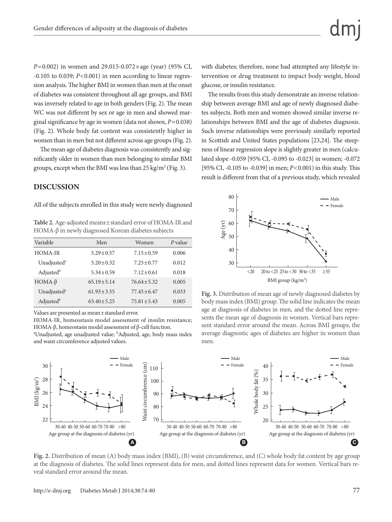*P*=0.002) in women and 29.015-0.072×age (year) (95% CI,  $-0.105$  to 0.039;  $P < 0.001$ ) in men according to linear regression analysis. The higher BMI in women than men at the onset of diabetes was consistent throughout all age groups, and BMI was inversely related to age in both genders (Fig. 2). The mean WC was not different by sex or age in men and showed marginal significance by age in women (data not shown, *P*=0.038) (Fig. 2). Whole body fat content was consistently higher in women than in men but not different across age groups (Fig. 2).

The mean age of diabetes diagnosis was consistently and significantly older in women than men belonging to similar BMI groups, except when the BMI was less than  $25 \text{ kg/m}^2$  (Fig. 3).

#### **DISCUSSION**

All of the subjects enrolled in this study were newly diagnosed

**Table 2.** Age-adjusted means±standard error of HOMA-IR and HOMA-β in newly diagnosed Korean diabetes subjects

| Variable                | Men              | Women            | $P$ value |
|-------------------------|------------------|------------------|-----------|
| HOMA-IR                 | $5.29 \pm 0.57$  | $7.15 \pm 0.59$  | 0.006     |
| Unadjusted <sup>a</sup> | $5.20 \pm 0.32$  | $7.25 \pm 0.77$  | 0.012     |
| Adjustedb               | $5.34 \pm 0.59$  | $7.12 \pm 0.61$  | 0.018     |
| $HOMA-\beta$            | $65.19 \pm 5.14$ | $76.64 \pm 5.32$ | 0.005     |
| Unadjusted <sup>a</sup> | $61.93 \pm 3.55$ | $77.45 \pm 6.47$ | 0.033     |
| Adjustedb               | $63.40 \pm 5.25$ | $75.81 \pm 5.43$ | 0.005     |

Values are presented as mean±standard error.

HOMA-IR, homeostasis model assessment of insulin resistance; HOMA-β, homeostasis model assessment of β-cell function.

<sup>a</sup>Unadjusted, age unadjusted value; <sup>b</sup>Adjusted, age, body mass index and waist circumference adjusted values.

with diabetes; therefore, none had attempted any lifestyle intervention or drug treatment to impact body weight, blood glucose, or insulin resistance.

The results from this study demonstrate an inverse relationship between average BMI and age of newly diagnosed diabetes subjects. Both men and women showed similar inverse relationships between BMI and the age of diabetes diagnosis. Such inverse relationships were previously similarly reported in Scottish and United States populations [23,24]. The steepness of linear regression slope is slightly greater in men (calculated slope -0.059 [95% CI, -0.095 to -0.023] in women; -0.072 [95% CI, -0.105 to -0.039] in men; *P*<0.001) in this study. This result is different from that of a previous study, which revealed



**Fig. 3.** Distribution of mean age of newly diagnosed diabetes by body mass index (BMI) group. The solid line indicates the mean age at diagnosis of diabetes in men, and the dotted line represents the mean age of diagnosis in women. Vertical bars represent standard error around the mean. Across BMI groups, the average diagnostic ages of diabetes are higher in women than men.



**Fig. 2.** Distribution of mean (A) body mass index (BMI), (B) waist circumference, and (C) whole body fat content by age group at the diagnosis of diabetes. The solid lines represent data for men, and dotted lines represent data for women. Vertical bars re-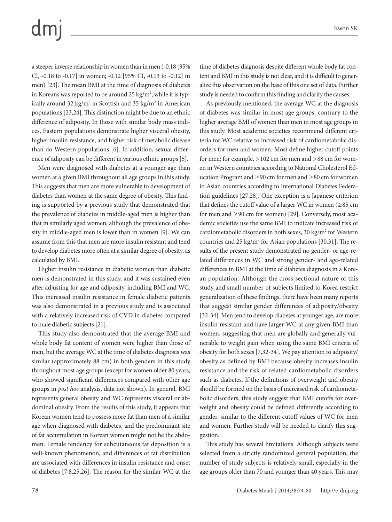### $dm$

a steeper inverse relationship in women than in men (-0.18 [95% CI, -0.18 to -0.17] in women; -0.12 [95% CI, -0.13 to -0.12] in men) [23]. The mean BMI at the time of diagnosis of diabetes in Koreans was reported to be around 25 kg/m², while it is typically around 32 kg/m<sup>2</sup> in Scottish and 35 kg/m<sup>2</sup> in American populations [23,24]. This distinction might be due to an ethnic difference of adiposity. In those with similar body mass indices, Eastern populations demonstrate higher visceral obesity, higher insulin resistance, and higher risk of metabolic disease than do Western populations [6]. In addition, sexual difference of adiposity can be different in various ethnic groups [5].

Men were diagnosed with diabetes at a younger age than women at a given BMI throughout all age groups in this study. This suggests that men are more vulnerable to development of diabetes than women at the same degree of obesity. This finding is supported by a previous study that demonstrated that the prevalence of diabetes in middle-aged men is higher than that in similarly aged women, although the prevalence of obesity in middle-aged men is lower than in women [9]. We can assume from this that men are more insulin resistant and tend to develop diabetes more often at a similar degree of obesity, as calculated by BMI.

Higher insulin resistance in diabetic women than diabetic men is demonstrated in this study, and it was sustained even after adjusting for age and adiposity, including BMI and WC. This increased insulin resistance in female diabetic patients was also demonstrated in a previous study and is associated with a relatively increased risk of CVD in diabetes compared to male diabetic subjects [21].

This study also demonstrated that the average BMI and whole body fat content of women were higher than those of men, but the average WC at the time of diabetes diagnosis was similar (approximately 88 cm) in both genders in this study throughout most age groups (except for women older 80 years, who showed significant differences compared with other age groups in *post hoc* analysis, data not shown). In general, BMI represents general obesity and WC represents visceral or abdominal obesity. From the results of this study, it appears that Korean women tend to possess more fat than men of a similar age when diagnosed with diabetes, and the predominant site of fat accumulation in Korean women might not be the abdomen. Female tendency for subcutaneous fat deposition is a well-known phenomenon, and differences of fat distribution are associated with differences in insulin resistance and onset of diabetes [7,8,25,26]. The reason for the similar WC at the

time of diabetes diagnosis despite different whole body fat content and BMI in this study is not clear, and it is difficult to generalize this observation on the base of this one set of data. Further study is needed to confirm this finding and clarify the causes.

As previously mentioned, the average WC at the diagnosis of diabetes was similar in most age groups, contrary to the higher average BMI of women than men in most age groups in this study. Most academic societies recommend different criteria for WC relative to increased risk of cardiometabolic disorders for men and women. Most define higher cutoff points for men; for example, >102 cm for men and >88 cm for women in Western countries according to National Cholesterol Education Program and ≥90 cm for men and ≥80 cm for women in Asian countries according to International Diabetes Federation guidelines [27,28]. One exception is a Japanese criterion that defines the cutoff value of a larger WC in women ( $\geq 85$  cm for men and ≥90 cm for women) [29]. Conversely, most academic societies use the same BMI to indicate increased risk of cardiometabolic disorders in both sexes, 30 kg/m<sup>2</sup> for Western countries and  $25 \text{ kg/m}^2$  for Asian populations [30,31]. The results of the present study demonstrated no gender- or age-related differences in WC and strong gender- and age-related differences in BMI at the time of diabetes diagnosis in a Korean population. Although the cross-sectional nature of this study and small number of subjects limited to Korea restrict generalization of these findings, there have been many reports that suggest similar gender differences of adiposity/obesity [32-34]. Men tend to develop diabetes at younger age, are more insulin resistant and have larger WC at any given BMI than women, suggesting that men are globally and generally vulnerable to weight gain when using the same BMI criteria of obesity for both sexes [7,32-34]. We pay attention to adiposity/ obesity as defined by BMI because obesity increases insulin resistance and the risk of related cardiometabolic disorders such as diabetes. If the definitions of overweight and obesity should be formed on the basis of increased risk of cardiometabolic disorders, this study suggest that BMI cutoffs for overweight and obesity could be defined differently according to gender, similar to the different cutoff values of WC for men and women. Further study will be needed to clarify this suggestion.

This study has several limitations. Although subjects were selected from a strictly randomized general population, the number of study subjects is relatively small, especially in the age groups older than 70 and younger than 40 years. This may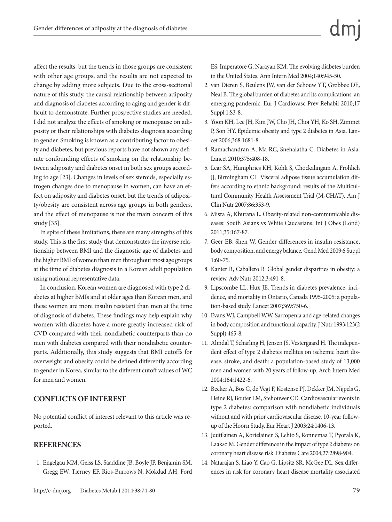affect the results, but the trends in those groups are consistent with other age groups, and the results are not expected to change by adding more subjects. Due to the cross-sectional nature of this study, the causal relationship between adiposity and diagnosis of diabetes according to aging and gender is difficult to demonstrate. Further prospective studies are needed. I did not analyze the effects of smoking or menopause on adiposity or their relationships with diabetes diagnosis according to gender. Smoking is known as a contributing factor to obesity and diabetes, but previous reports have not shown any definite confounding effects of smoking on the relationship between adiposity and diabetes onset in both sex groups according to age [23]. Changes in levels of sex steroids, especially estrogen changes due to menopause in women, can have an effect on adiposity and diabetes onset, but the trends of adiposity/obesity are consistent across age groups in both genders, and the effect of menopause is not the main concern of this study [35].

In spite of these limitations, there are many strengths of this study. This is the first study that demonstrates the inverse relationship between BMI and the diagnostic age of diabetes and the higher BMI of women than men throughout most age groups at the time of diabetes diagnosis in a Korean adult population using national representative data.

In conclusion, Korean women are diagnosed with type 2 diabetes at higher BMIs and at older ages than Korean men, and these women are more insulin resistant than men at the time of diagnosis of diabetes. These findings may help explain why women with diabetes have a more greatly increased risk of CVD compared with their nondiabetic counterparts than do men with diabetes compared with their nondiabetic counterparts. Additionally, this study suggests that BMI cutoffs for overweight and obesity could be defined differently according to gender in Korea, similar to the different cutoff values of WC for men and women.

#### **CONFLICTS OF INTEREST**

No potential conflict of interest relevant to this article was reported.

#### **REFERENCES**

1. Engelgau MM, Geiss LS, Saaddine JB, Boyle JP, Benjamin SM, Gregg EW, Tierney EF, Rios-Burrows N, Mokdad AH, Ford ES, Imperatore G, Narayan KM. The evolving diabetes burden in the United States. Ann Intern Med 2004;140:945-50.

- 2. van Dieren S, Beulens JW, van der Schouw YT, Grobbee DE, Neal B. The global burden of diabetes and its complications: an emerging pandemic. Eur J Cardiovasc Prev Rehabil 2010;17 Suppl 1:S3-8.
- 3. Yoon KH, Lee JH, Kim JW, Cho JH, Choi YH, Ko SH, Zimmet P, Son HY. Epidemic obesity and type 2 diabetes in Asia. Lancet 2006;368:1681-8.
- 4. Ramachandran A, Ma RC, Snehalatha C. Diabetes in Asia. Lancet 2010;375:408-18.
- 5. Lear SA, Humphries KH, Kohli S, Chockalingam A, Frohlich JJ, Birmingham CL. Visceral adipose tissue accumulation differs according to ethnic background: results of the Multicultural Community Health Assessment Trial (M-CHAT). Am J Clin Nutr 2007;86:353-9.
- 6. Misra A, Khurana L. Obesity-related non-communicable diseases: South Asians vs White Caucasians. Int J Obes (Lond) 2011;35:167-87.
- 7. Geer EB, Shen W. Gender differences in insulin resistance, body composition, and energy balance. Gend Med 2009;6 Suppl 1:60-75.
- 8. Kanter R, Caballero B. Global gender disparities in obesity: a review. Adv Nutr 2012;3:491-8.
- 9. Lipscombe LL, Hux JE. Trends in diabetes prevalence, incidence, and mortality in Ontario, Canada 1995-2005: a population-based study. Lancet 2007;369:750-6.
- 10. Evans WJ, Campbell WW. Sarcopenia and age-related changes in body composition and functional capacity. J Nutr 1993;123(2 Suppl):465-8.
- 11. Almdal T, Scharling H, Jensen JS, Vestergaard H. The independent effect of type 2 diabetes mellitus on ischemic heart disease, stroke, and death: a population-based study of 13,000 men and women with 20 years of follow-up. Arch Intern Med 2004;164:1422-6.
- 12. Becker A, Bos G, de Vegt F, Kostense PJ, Dekker JM, Nijpels G, Heine RJ, Bouter LM, Stehouwer CD. Cardiovascular events in type 2 diabetes: comparison with nondiabetic individuals without and with prior cardiovascular disease. 10-year followup of the Hoorn Study. Eur Heart J 2003;24:1406-13.
- 13. Juutilainen A, Kortelainen S, Lehto S, Ronnemaa T, Pyorala K, Laakso M. Gender difference in the impact of type 2 diabetes on coronary heart disease risk. Diabetes Care 2004;27:2898-904.
- 14. Natarajan S, Liao Y, Cao G, Lipsitz SR, McGee DL. Sex differences in risk for coronary heart disease mortality associated